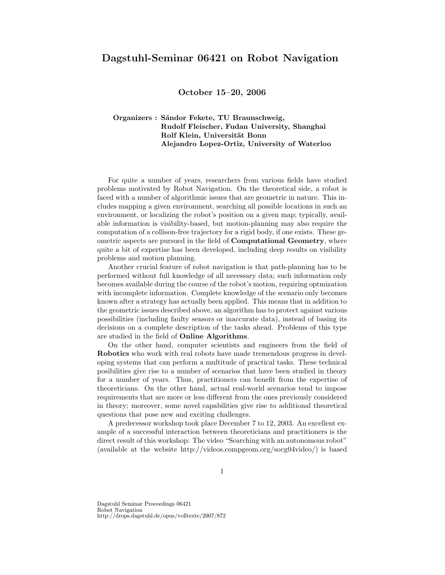## Dagstuhl-Seminar 06421 on Robot Navigation

October 15–20, 2006

## Organizers : Sándor Fekete, TU Braunschweig, Rudolf Fleischer, Fudan University, Shanghai Rolf Klein, Universität Bonn Alejandro Lopez-Ortiz, University of Waterloo

For quite a number of years, researchers from various fields have studied problems motivated by Robot Navigation. On the theoretical side, a robot is faced with a number of algorithmic issues that are geometric in nature. This includes mapping a given environment, searching all possible locations in such an environment, or localizing the robot's position on a given map; typically, available information is visibility-based, but motion-planning may also require the computation of a collison-free trajectory for a rigid body, if one exists. These geometric aspects are pursued in the field of Computational Geometry, where quite a bit of expertise has been developed, including deep results on visibility problems and motion planning.

Another crucial feature of robot navigation is that path-planning has to be performed without full knowledge of all necessary data; such information only becomes available during the course of the robot's motion, requiring optmization with incomplete information. Complete knowledge of the scenario only becomes known after a strategy has actually been applied. This means that in addition to the geometric issues described above, an algorithm has to protect against various possibilities (including faulty sensors or inaccurate data), instead of basing its decisions on a complete description of the tasks ahead. Problems of this type are studied in the field of Online Algorithms.

On the other hand, computer scientists and engineers from the field of Robotics who work with real robots have made tremendous progress in developing systems that can perform a multitude of practical tasks. These technical posibilities give rise to a number of scenarios that have been studied in theory for a number of years. Thus, practitioners can benefit from the expertise of theoreticians. On the other hand, actual real-world scenarios tend to impose requirements that are more or less different from the ones previously considered in theory; moreover, some novel capabilities give rise to additional theoretical questions that pose new and exciting challenges.

A predecessor workshop took place December 7 to 12, 2003. An excellent example of a successful interaction between theoreticians and practitioners is the direct result of this workshop: The video "Searching with an autonomous robot" (available at the website http://videos.compgeom.org/socg04video/) is based

Dagstuhl Seminar Proceedings 06421 Robot Navigation http://drops.dagstuhl.de/opus/volltexte/2007/872